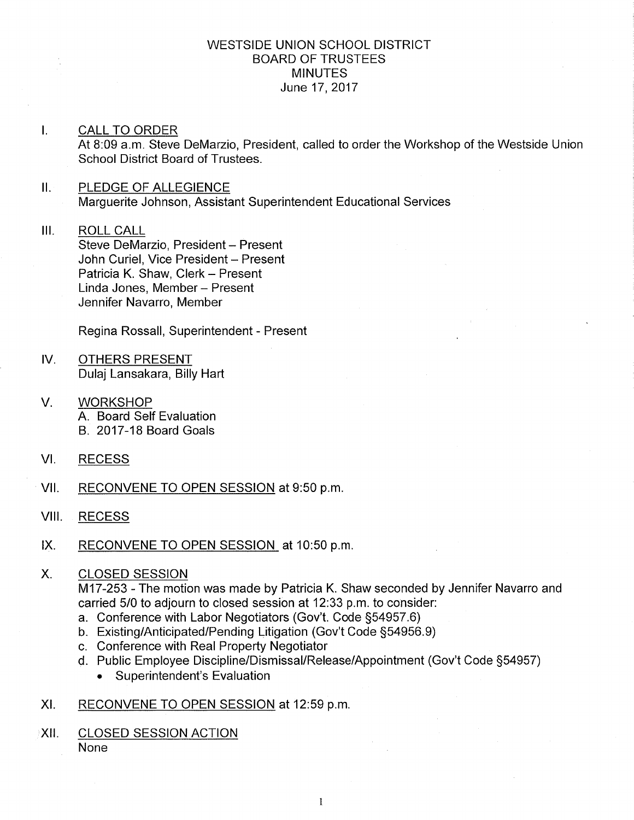## WESTSIDE UNION SCHOOL DISTRICT BOARD OF TRUSTEES MINUTES June 17,2017

- $\mathbf{L}$ CALL TO ORDER At 8:09 a.m. Steve DeMarzio, President, called to order the Workshop of the Westside Union School District Board of Trustees.
- II. PLEDGE OF ALLEGIENCE Marguerite Johnson, Assistant Superintendent Educational Services
- III. ROLL CALL Steve DeMarzio, President - Present John Curiel, Vice President - Present Patricia K. Shaw, Clerk - Present Linda Jones, Member - Present Jennifer Navarro, Member

Regina Rossall, Superintendent - Present

- IV OTHERS PRESENT Dulaj Lansakara, Billy Hart
- V. **WORKSHOP** A. Board Self Evaluation B. 2017-18 Board Goals
- VI. RECESS
- Vll. RECONVENE TO OPEN SESSION at 9:50 p.m
- VIII. RECESS
- lX. RECONVENE TO OPEN SESSION at 10:50 p.m
- X. CLOSED SESSION

M17-253 - The motion was made by Patricia K. Shaw seconded by Jennifer Navarro and carried 5/0 to adjourn to closed session at 12:33 p.m. to consider:

- 
- a. Conference with Labor Negotiators (Gov't. Code §54957.6)<br>b. Existing/Anticipated/Pending Litigation (Gov't Code §54956.9)<br>c. Conference with Real Property Negotiator
- 
- d. Public Employee Discipline/Dismissal/Release/Appointment (Gov't Code §54957)
	- . Superintendent's Evaluation
- XI. RECONVENE TO OPEN SESSION at 12:59 p.m
- XII. CLOSED SESSION ACTION None